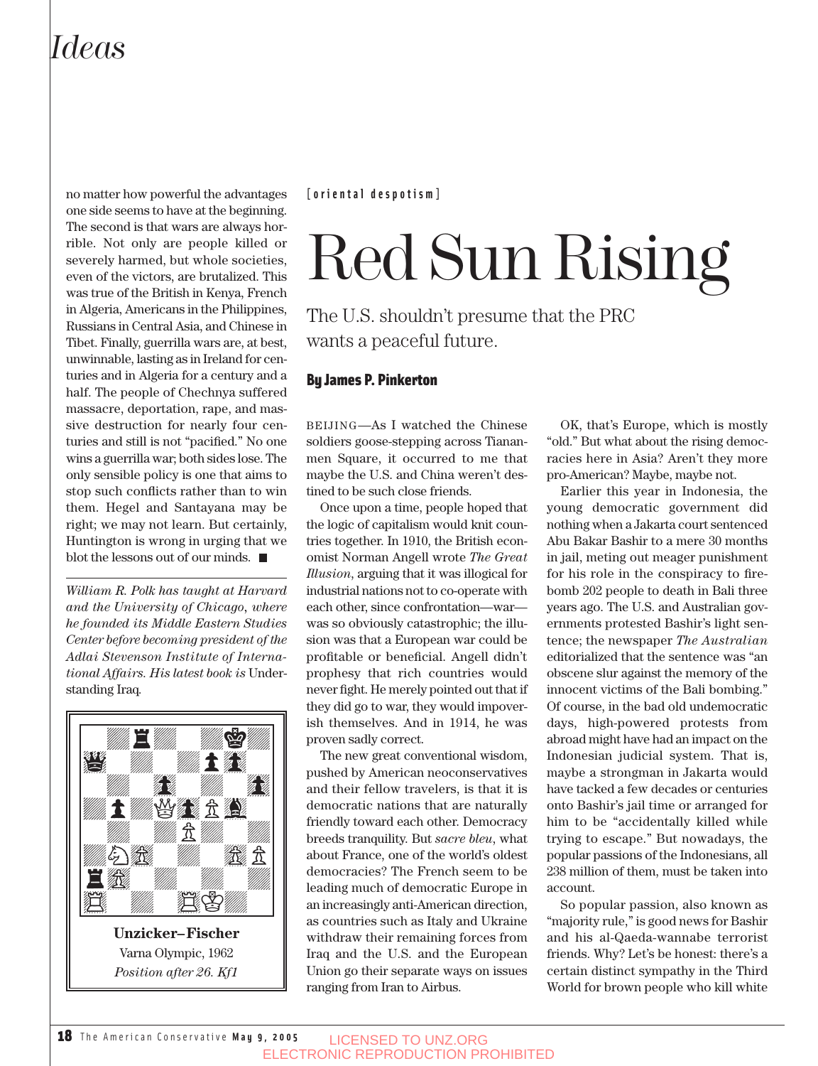### *Ideas*

no matter how powerful the advantages one side seems to have at the beginning. The second is that wars are always horrible. Not only are people killed or severely harmed, but whole societies, even of the victors, are brutalized. This was true of the British in Kenya, French in Algeria, Americans in the Philippines, Russians in Central Asia, and Chinese in Tibet. Finally, guerrilla wars are, at best, unwinnable, lasting as in Ireland for centuries and in Algeria for a century and a half. The people of Chechnya suffered massacre, deportation, rape, and massive destruction for nearly four centuries and still is not "pacified." No one wins a guerrilla war; both sides lose. The only sensible policy is one that aims to stop such conflicts rather than to win them. Hegel and Santayana may be right; we may not learn. But certainly, Huntington is wrong in urging that we blot the lessons out of our minds.  $\blacksquare$ 

*William R. Polk has taught at Harvard and the University of Chicago, where he founded its Middle Eastern Studies Center before becoming president of the Adlai Stevenson Institute of International Affairs. His latest book is* Understanding Iraq*.*



#### **[oriental despotism]**

# Red Sun Rising

The U.S. shouldn't presume that the PRC wants a peaceful future.

#### By James P. Pinkerton

BEIJING—As I watched the Chinese soldiers goose-stepping across Tiananmen Square, it occurred to me that maybe the U.S. and China weren't destined to be such close friends.

Once upon a time, people hoped that the logic of capitalism would knit countries together. In 1910, the British economist Norman Angell wrote *The Great Illusion*, arguing that it was illogical for industrial nations not to co-operate with each other, since confrontation—war was so obviously catastrophic; the illusion was that a European war could be profitable or beneficial. Angell didn't prophesy that rich countries would never fight. He merely pointed out that if they did go to war, they would impoverish themselves. And in 1914, he was proven sadly correct.

The new great conventional wisdom, pushed by American neoconservatives and their fellow travelers, is that it is democratic nations that are naturally friendly toward each other. Democracy breeds tranquility. But *sacre bleu*, what about France, one of the world's oldest democracies? The French seem to be leading much of democratic Europe in an increasingly anti-American direction, as countries such as Italy and Ukraine withdraw their remaining forces from Iraq and the U.S. and the European Union go their separate ways on issues ranging from Iran to Airbus.

OK, that's Europe, which is mostly "old." But what about the rising democracies here in Asia? Aren't they more pro-American? Maybe, maybe not.

Earlier this year in Indonesia, the young democratic government did nothing when a Jakarta court sentenced Abu Bakar Bashir to a mere 30 months in jail, meting out meager punishment for his role in the conspiracy to firebomb 202 people to death in Bali three years ago. The U.S. and Australian governments protested Bashir's light sentence; the newspaper *The Australian* editorialized that the sentence was "an obscene slur against the memory of the innocent victims of the Bali bombing." Of course, in the bad old undemocratic days, high-powered protests from abroad might have had an impact on the Indonesian judicial system. That is, maybe a strongman in Jakarta would have tacked a few decades or centuries onto Bashir's jail time or arranged for him to be "accidentally killed while trying to escape." But nowadays, the popular passions of the Indonesians, all 238 million of them, must be taken into account.

So popular passion, also known as "majority rule," is good news for Bashir and his al-Qaeda-wannabe terrorist friends. Why? Let's be honest: there's a certain distinct sympathy in the Third World for brown people who kill white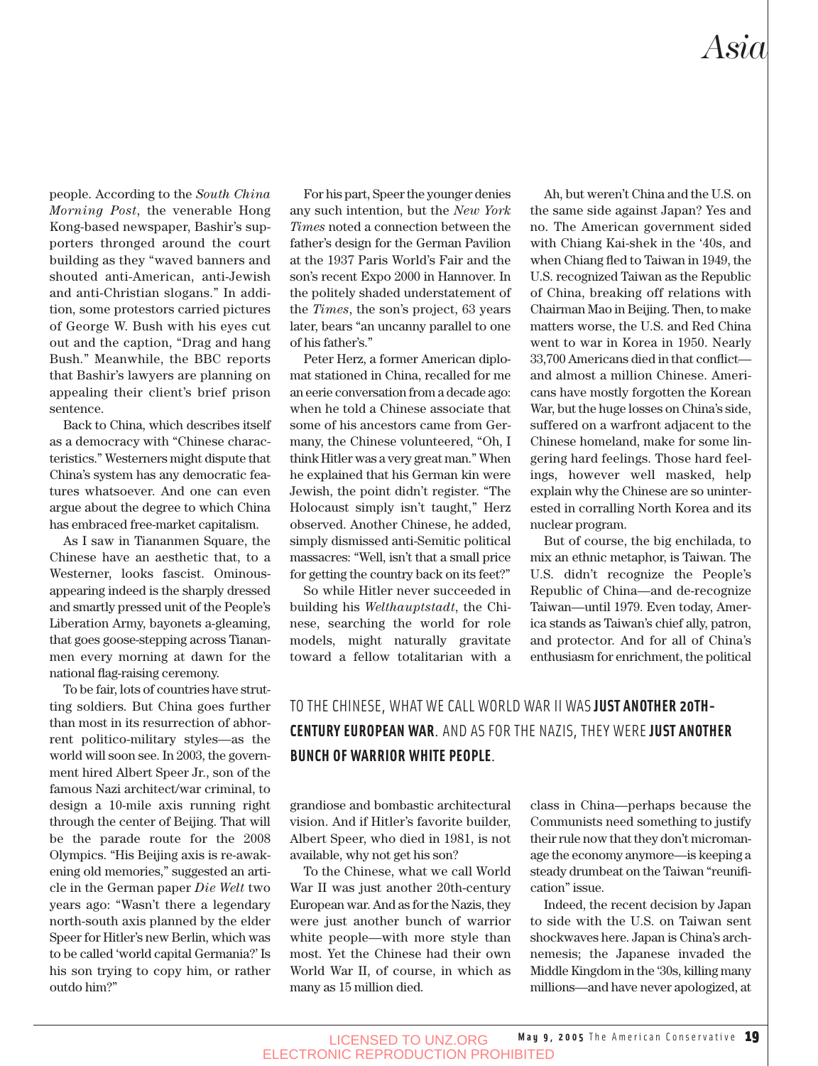people. According to the *South China Morning Post*, the venerable Hong Kong-based newspaper, Bashir's supporters thronged around the court building as they "waved banners and shouted anti-American, anti-Jewish and anti-Christian slogans." In addition, some protestors carried pictures of George W. Bush with his eyes cut out and the caption, "Drag and hang Bush." Meanwhile, the BBC reports that Bashir's lawyers are planning on appealing their client's brief prison sentence.

Back to China, which describes itself as a democracy with "Chinese characteristics." Westerners might dispute that China's system has any democratic features whatsoever. And one can even argue about the degree to which China has embraced free-market capitalism.

As I saw in Tiananmen Square, the Chinese have an aesthetic that, to a Westerner, looks fascist. Ominousappearing indeed is the sharply dressed and smartly pressed unit of the People's Liberation Army, bayonets a-gleaming, that goes goose-stepping across Tiananmen every morning at dawn for the national flag-raising ceremony.

To be fair, lots of countries have strutting soldiers. But China goes further than most in its resurrection of abhorrent politico-military styles—as the world will soon see. In 2003, the government hired Albert Speer Jr., son of the famous Nazi architect/war criminal, to design a 10-mile axis running right through the center of Beijing. That will be the parade route for the 2008 Olympics. "His Beijing axis is re-awakening old memories," suggested an article in the German paper *Die Welt* two years ago: "Wasn't there a legendary north-south axis planned by the elder Speer for Hitler's new Berlin, which was to be called 'world capital Germania?' Is his son trying to copy him, or rather outdo him?"

For his part, Speer the younger denies any such intention, but the *New York Times* noted a connection between the father's design for the German Pavilion at the 1937 Paris World's Fair and the son's recent Expo 2000 in Hannover. In the politely shaded understatement of the *Times*, the son's project, 63 years later, bears "an uncanny parallel to one of his father's."

Peter Herz, a former American diplomat stationed in China, recalled for me an eerie conversation from a decade ago: when he told a Chinese associate that some of his ancestors came from Germany, the Chinese volunteered, "Oh, I think Hitler was a very great man." When he explained that his German kin were Jewish, the point didn't register. "The Holocaust simply isn't taught," Herz observed. Another Chinese, he added, simply dismissed anti-Semitic political massacres: "Well, isn't that a small price for getting the country back on its feet?"

So while Hitler never succeeded in building his *Welthauptstadt*, the Chinese, searching the world for role models, might naturally gravitate toward a fellow totalitarian with a

Ah, but weren't China and the U.S. on the same side against Japan? Yes and no. The American government sided with Chiang Kai-shek in the '40s, and when Chiang fled to Taiwan in 1949, the U.S. recognized Taiwan as the Republic of China, breaking off relations with Chairman Mao in Beijing. Then, to make matters worse, the U.S. and Red China went to war in Korea in 1950. Nearly 33,700 Americans died in that conflict and almost a million Chinese. Americans have mostly forgotten the Korean War, but the huge losses on China's side, suffered on a warfront adjacent to the Chinese homeland, make for some lingering hard feelings. Those hard feelings, however well masked, help explain why the Chinese are so uninterested in corralling North Korea and its nuclear program.

But of course, the big enchilada, to mix an ethnic metaphor, is Taiwan. The U.S. didn't recognize the People's Republic of China—and de-recognize Taiwan—until 1979. Even today, America stands as Taiwan's chief ally, patron, and protector. And for all of China's enthusiasm for enrichment, the political

#### TO THE CHINESE, WHAT WE CALL WORLD WAR II WAS **JUST ANOTHER 20TH-CENTURY EUROPEAN WAR**. AND AS FOR THE NAZIS, THEY WERE **JUST ANOTHER BUNCH OF WARRIOR WHITE PEOPLE**.

grandiose and bombastic architectural vision. And if Hitler's favorite builder, Albert Speer, who died in 1981, is not available, why not get his son?

To the Chinese, what we call World War II was just another 20th-century European war. And as for the Nazis, they were just another bunch of warrior white people—with more style than most. Yet the Chinese had their own World War II, of course, in which as many as 15 million died.

class in China—perhaps because the Communists need something to justify their rule now that they don't micromanage the economy anymore—is keeping a steady drumbeat on the Taiwan "reunification" issue.

Indeed, the recent decision by Japan to side with the U.S. on Taiwan sent shockwaves here. Japan is China's archnemesis; the Japanese invaded the Middle Kingdom in the '30s, killing many millions—and have never apologized, at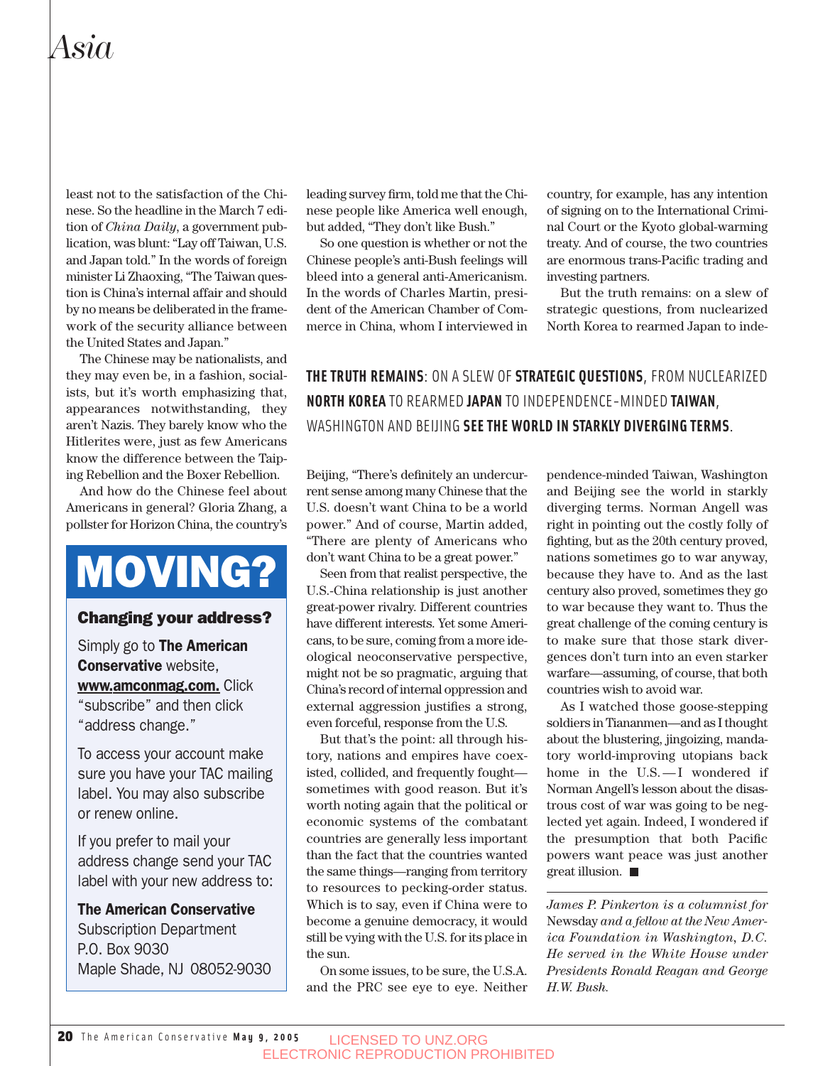### *Asia*

least not to the satisfaction of the Chinese. So the headline in the March 7 edition of *China Daily*, a government publication, was blunt: "Lay off Taiwan, U.S. and Japan told." In the words of foreign minister Li Zhaoxing, "The Taiwan question is China's internal affair and should by no means be deliberated in the framework of the security alliance between the United States and Japan."

The Chinese may be nationalists, and they may even be, in a fashion, socialists, but it's worth emphasizing that, appearances notwithstanding, they aren't Nazis. They barely know who the Hitlerites were, just as few Americans know the difference between the Taiping Rebellion and the Boxer Rebellion.

And how do the Chinese feel about Americans in general? Gloria Zhang, a pollster for Horizon China, the country's

# MOVING?

#### Changing your address?

Simply go to **The American** Conservative website, www.amconmag.com. Click "subscribe" and then click "address change."

To access your account make sure you have your TAC mailing label. You may also subscribe or renew online.

If you prefer to mail your address change send your TAC label with your new address to:

#### The American Conservative

Subscription Department P.O. Box 9030 Maple Shade, NJ 08052-9030

leading survey firm, told me that the Chinese people like America well enough, but added, "They don't like Bush."

So one question is whether or not the Chinese people's anti-Bush feelings will bleed into a general anti-Americanism. In the words of Charles Martin, president of the American Chamber of Commerce in China, whom I interviewed in country, for example, has any intention of signing on to the International Criminal Court or the Kyoto global-warming treaty. And of course, the two countries are enormous trans-Pacific trading and investing partners.

But the truth remains: on a slew of strategic questions, from nuclearized North Korea to rearmed Japan to inde-

**THE TRUTH REMAINS**: ON A SLEW OF **STRATEGIC QUESTIONS**, FROM NUCLEARIZED **NORTH KOREA** TO REARMED **JAPAN** TO INDEPENDENCE-MINDED **TAIWAN**, WASHINGTON AND BEIJING **SEE THE WORLD IN STARKLY DIVERGING TERMS**.

Beijing, "There's definitely an undercurrent sense among many Chinese that the U.S. doesn't want China to be a world power." And of course, Martin added, "There are plenty of Americans who don't want China to be a great power."

Seen from that realist perspective, the U.S.-China relationship is just another great-power rivalry. Different countries have different interests. Yet some Americans, to be sure, coming from a more ideological neoconservative perspective, might not be so pragmatic, arguing that China's record of internal oppression and external aggression justifies a strong, even forceful, response from the U.S.

But that's the point: all through history, nations and empires have coexisted, collided, and frequently fought sometimes with good reason. But it's worth noting again that the political or economic systems of the combatant countries are generally less important than the fact that the countries wanted the same things—ranging from territory to resources to pecking-order status. Which is to say, even if China were to become a genuine democracy, it would still be vying with the U.S. for its place in the sun.

On some issues, to be sure, the U.S.A. and the PRC see eye to eye. Neither pendence-minded Taiwan, Washington and Beijing see the world in starkly diverging terms. Norman Angell was right in pointing out the costly folly of fighting, but as the 20th century proved, nations sometimes go to war anyway, because they have to. And as the last century also proved, sometimes they go to war because they want to. Thus the great challenge of the coming century is to make sure that those stark divergences don't turn into an even starker warfare—assuming, of course, that both countries wish to avoid war.

As I watched those goose-stepping soldiers in Tiananmen—and as I thought about the blustering, jingoizing, mandatory world-improving utopians back home in the U.S. - I wondered if Norman Angell's lesson about the disastrous cost of war was going to be neglected yet again. Indeed, I wondered if the presumption that both Pacific powers want peace was just another great illusion.

*James P. Pinkerton is a columnist for* Newsday *and a fellow at the New America Foundation in Washington, D.C. He served in the White House under Presidents Ronald Reagan and George H.W. Bush.*